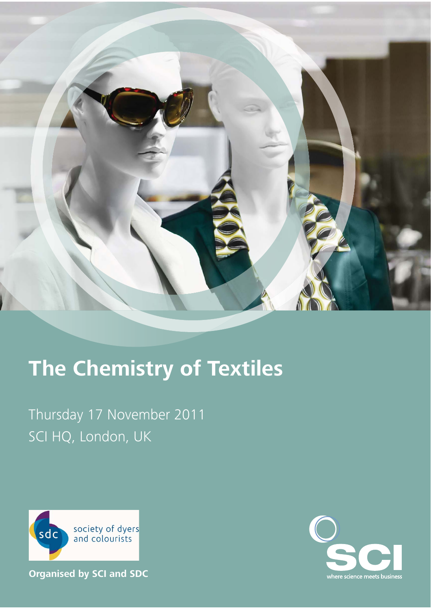

# **The Chemistry of Textiles**

Thursday 17 November 2011 SCI HQ, London, UK



**Organised by SCI and SDC**

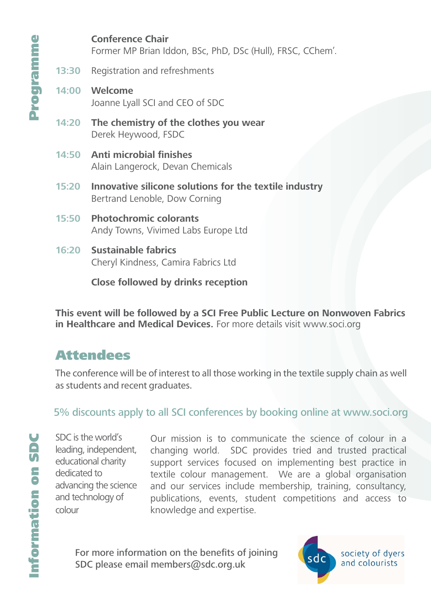**Conference Chair** Former MP Brian Iddon, BSc, PhD, DSc (Hull), FRSC, CChem'. **13:30** Registration and refreshments **14:00 Welcome**

Joanne Lyall SCI and CEO of SDC

- **14:20 The chemistry of the clothes you wear** Derek Heywood, FSDC
- **14:50** Anti microbial finishes Alain Langerock, Devan Chemicals
- **15:20 Innovative silicone solutions for the textile industry** Bertrand Lenoble, Dow Corning
- **15:50 Photochromic colorants** Andy Towns, Vivimed Labs Europe Ltd
- **16:20 Sustainable fabrics**  Cheryl Kindness, Camira Fabrics Ltd

**Close followed by drinks reception**

**This event will be followed by a SCI Free Public Lecture on Nonwoven Fabrics in Healthcare and Medical Devices.** For more details visit www.soci.org

## **Attendees**

The conference will be of interest to all those working in the textile supply chain as well as students and recent graduates.

### 5% discounts apply to all SCI conferences by booking online at www.soci.org

SDC is the world's leading, independent, educational charity dedicated to advancing the science and technology of colour

Our mission is to communicate the science of colour in a changing world. SDC provides tried and trusted practical support services focused on implementing best practice in textile colour management. We are a global organisation and our services include membership, training, consultancy, publications, events, student competitions and access to knowledge and expertise.

For more information on the benefits of joining SDC please email members@sdc.org.uk

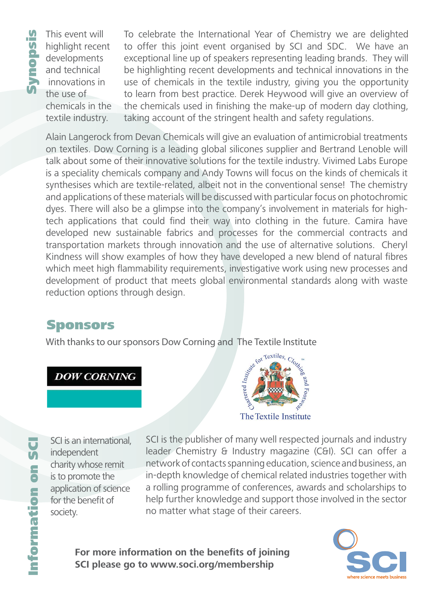This event will highlight recent developments and technical innovations in the use of chemicals in the textile industry.

To celebrate the International Year of Chemistry we are delighted to offer this joint event organised by SCI and SDC. We have an exceptional line up of speakers representing leading brands. They will be highlighting recent developments and technical innovations in the use of chemicals in the textile industry, giving you the opportunity to learn from best practice. Derek Heywood will give an overview of the chemicals used in finishing the make-up of modern day clothing, taking account of the stringent health and safety regulations.

Alain Langerock from Devan Chemicals will give an evaluation of antimicrobial treatments on textiles. Dow Corning is a leading global silicones supplier and Bertrand Lenoble will talk about some of their innovative solutions for the textile industry. Vivimed Labs Europe is a speciality chemicals company and Andy Towns will focus on the kinds of chemicals it synthesises which are textile-related, albeit not in the conventional sense! The chemistry and applications of these materials will be discussed with particular focus on photochromic dyes. There will also be a glimpse into the company's involvement in materials for hightech applications that could find their way into clothing in the future. Camira have developed new sustainable fabrics and processes for the commercial contracts and transportation markets through innovation and the use of alternative solutions. Cheryl Kindness will show examples of how they have developed a new blend of natural fibres which meet high flammability requirements, investigative work using new processes and development of product that meets global environmental standards along with waste reduction options through design.

## Sponsors

With thanks to our sponsors Dow Corning and The Textile Institute

### **DOW CORNING**



Information on SCI  $\overline{5}$ **Sp** ormation

SCI is an international, independent charity whose remit is to promote the application of science for the benefit of society.

SCI is the publisher of many well respected journals and industry leader Chemistry & Industry magazine (C&I). SCI can offer a network of contacts spanning education, science and business, an in-depth knowledge of chemical related industries together with a rolling programme of conferences, awards and scholarships to help further knowledge and support those involved in the sector no matter what stage of their careers.

For more information on the benefits of joining **SCI please go to www.soci.org/membership**